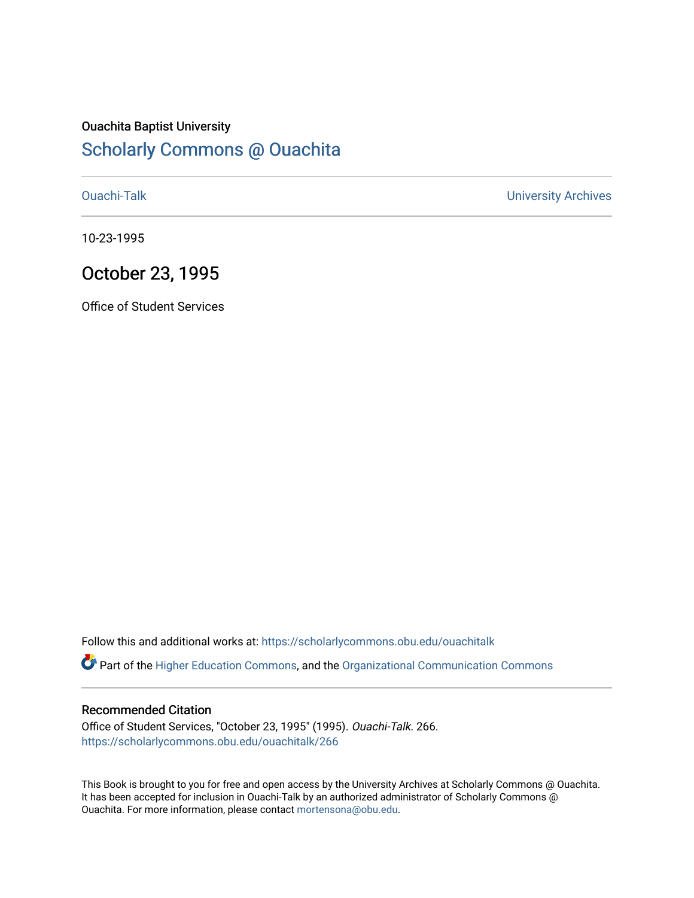## Ouachita Baptist University

### [Scholarly Commons @ Ouachita](https://scholarlycommons.obu.edu/)

[Ouachi-Talk](https://scholarlycommons.obu.edu/ouachitalk) [University Archives](https://scholarlycommons.obu.edu/universityarchives) 

10-23-1995

### October 23, 1995

Office of Student Services

Follow this and additional works at: [https://scholarlycommons.obu.edu/ouachitalk](https://scholarlycommons.obu.edu/ouachitalk?utm_source=scholarlycommons.obu.edu%2Fouachitalk%2F266&utm_medium=PDF&utm_campaign=PDFCoverPages) 

Part of the [Higher Education Commons,](http://network.bepress.com/hgg/discipline/1245?utm_source=scholarlycommons.obu.edu%2Fouachitalk%2F266&utm_medium=PDF&utm_campaign=PDFCoverPages) and the [Organizational Communication Commons](http://network.bepress.com/hgg/discipline/335?utm_source=scholarlycommons.obu.edu%2Fouachitalk%2F266&utm_medium=PDF&utm_campaign=PDFCoverPages)

#### Recommended Citation

Office of Student Services, "October 23, 1995" (1995). Ouachi-Talk. 266. [https://scholarlycommons.obu.edu/ouachitalk/266](https://scholarlycommons.obu.edu/ouachitalk/266?utm_source=scholarlycommons.obu.edu%2Fouachitalk%2F266&utm_medium=PDF&utm_campaign=PDFCoverPages) 

This Book is brought to you for free and open access by the University Archives at Scholarly Commons @ Ouachita. It has been accepted for inclusion in Ouachi-Talk by an authorized administrator of Scholarly Commons @ Ouachita. For more information, please contact [mortensona@obu.edu](mailto:mortensona@obu.edu).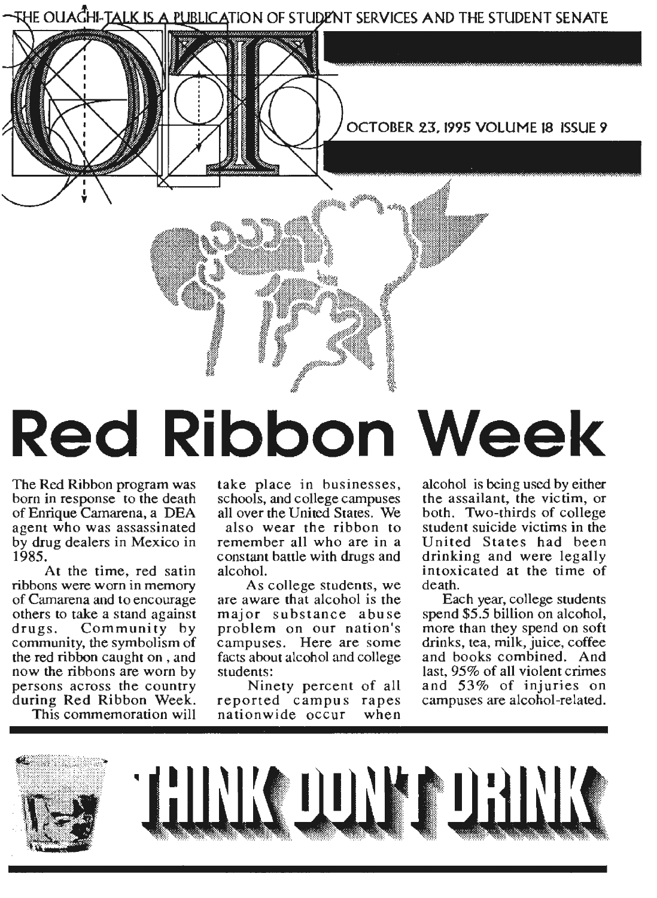

# **Red Ribbon Week**

The Red Ribbon program was born in response to the death of Enrique Camarena, a DEA agent who was assassinated by drug dealers in Mexico in 1985.

At the time, red satin ribbons were worn in memory of Camarena and to encourage others to take a stand against drugs. Community by community, the symbolism of the red ribbon caught on , and now the ribbons are worn by persons across the country during Red Ribbon Week.

This commemoration will

take place in businesses, schools, and college campuses all over the United States. We also wear the ribbon to remember all who are in a constant battle with drugs and alcohol.

As college students, we are aware that alcohol is the major substance abuse problem on our nation's campuses. Here are some facts about alcohol and college students:

Ninety percent of all reported campus rapes<br>nationwide occur when nationwide occur

alcohol is being used by either the assailant, the vic tim, or both. Two-thirds of college student suicide victims in the United States had been drinking and were legally intoxicated at the time of death.

Each year, college students spend \$5.5 billion on alcohol, more than they spend on soft drinks, tea, milk, juice, coffee and books combined. And last, 95% of all violent crimes and 53% of injuries on campuses are alcohol-related.